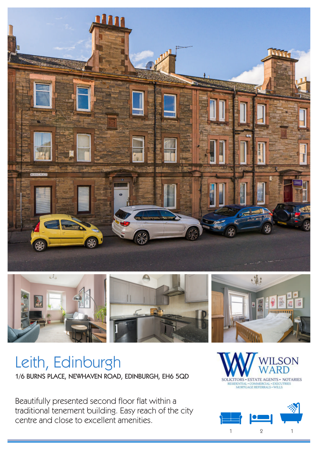



# Leith, Edinburgh 1/6 BURNS PLACE, NEWHAVEN ROAD, EDINBURGH, EH6 5QD

Beautifully presented second floor flat within a traditional tenement building. Easy reach of the city centre and close to excellent amenities.